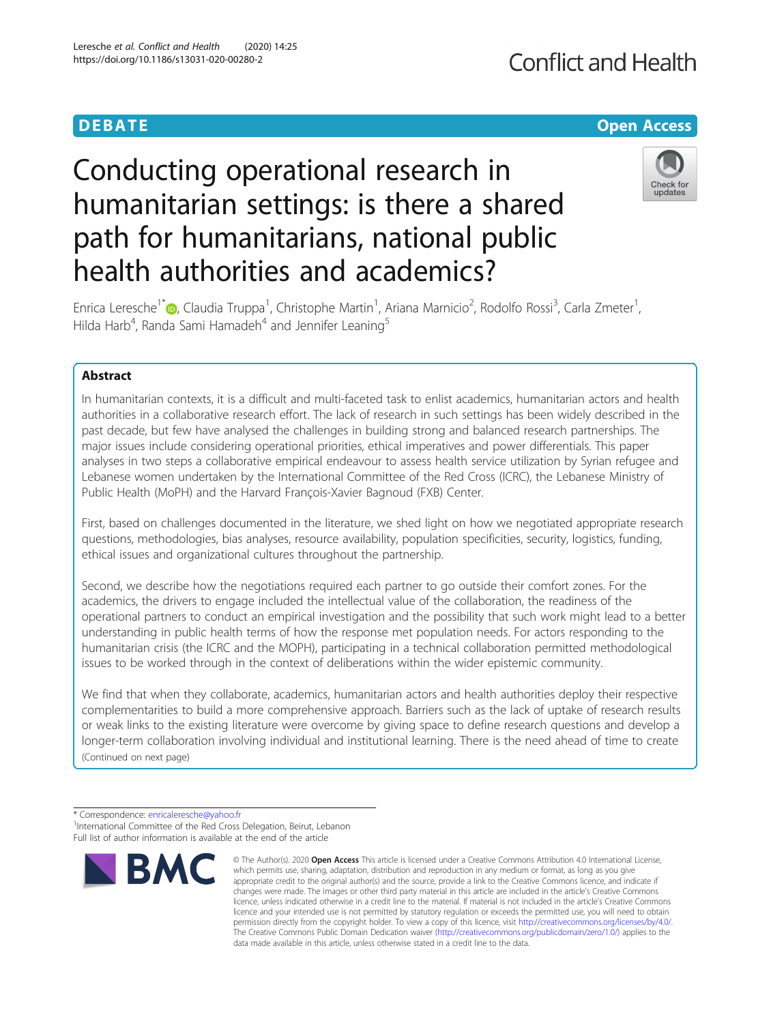## **Conflict and Health**

## **DEBATE CONSIDERED ACCESS Open Access**

# Conducting operational research in humanitarian settings: is there a shared path for humanitarians, national public health authorities and academics?



Enrica Leresche<sup>1\*</sup>®[,](http://orcid.org/0000-0003-4743-5821) Claudia Truppa<sup>1</sup>, Christophe Martin<sup>1</sup>, Ariana Marnicio<sup>2</sup>, Rodolfo Rossi<sup>3</sup>, Carla Zmeter<sup>1</sup> , Hilda Harb<sup>4</sup>, Randa Sami Hamadeh<sup>4</sup> and Jennifer Leaning<sup>5</sup>

## Abstract

In humanitarian contexts, it is a difficult and multi-faceted task to enlist academics, humanitarian actors and health authorities in a collaborative research effort. The lack of research in such settings has been widely described in the past decade, but few have analysed the challenges in building strong and balanced research partnerships. The major issues include considering operational priorities, ethical imperatives and power differentials. This paper analyses in two steps a collaborative empirical endeavour to assess health service utilization by Syrian refugee and Lebanese women undertaken by the International Committee of the Red Cross (ICRC), the Lebanese Ministry of Public Health (MoPH) and the Harvard François-Xavier Bagnoud (FXB) Center.

First, based on challenges documented in the literature, we shed light on how we negotiated appropriate research questions, methodologies, bias analyses, resource availability, population specificities, security, logistics, funding, ethical issues and organizational cultures throughout the partnership.

Second, we describe how the negotiations required each partner to go outside their comfort zones. For the academics, the drivers to engage included the intellectual value of the collaboration, the readiness of the operational partners to conduct an empirical investigation and the possibility that such work might lead to a better understanding in public health terms of how the response met population needs. For actors responding to the humanitarian crisis (the ICRC and the MOPH), participating in a technical collaboration permitted methodological issues to be worked through in the context of deliberations within the wider epistemic community.

We find that when they collaborate, academics, humanitarian actors and health authorities deploy their respective complementarities to build a more comprehensive approach. Barriers such as the lack of uptake of research results or weak links to the existing literature were overcome by giving space to define research questions and develop a longer-term collaboration involving individual and institutional learning. There is the need ahead of time to create (Continued on next page)

<sup>\*</sup> Correspondence: [enricaleresche@yahoo.fr](mailto:enricaleresche@yahoo.fr) <sup>1</sup> <sup>1</sup>International Committee of the Red Cross Delegation, Beirut, Lebanon Full list of author information is available at the end of the article



<sup>©</sup> The Author(s), 2020 **Open Access** This article is licensed under a Creative Commons Attribution 4.0 International License, which permits use, sharing, adaptation, distribution and reproduction in any medium or format, as long as you give appropriate credit to the original author(s) and the source, provide a link to the Creative Commons licence, and indicate if changes were made. The images or other third party material in this article are included in the article's Creative Commons licence, unless indicated otherwise in a credit line to the material. If material is not included in the article's Creative Commons licence and your intended use is not permitted by statutory regulation or exceeds the permitted use, you will need to obtain permission directly from the copyright holder. To view a copy of this licence, visit [http://creativecommons.org/licenses/by/4.0/.](http://creativecommons.org/licenses/by/4.0/) The Creative Commons Public Domain Dedication waiver [\(http://creativecommons.org/publicdomain/zero/1.0/](http://creativecommons.org/publicdomain/zero/1.0/)) applies to the data made available in this article, unless otherwise stated in a credit line to the data.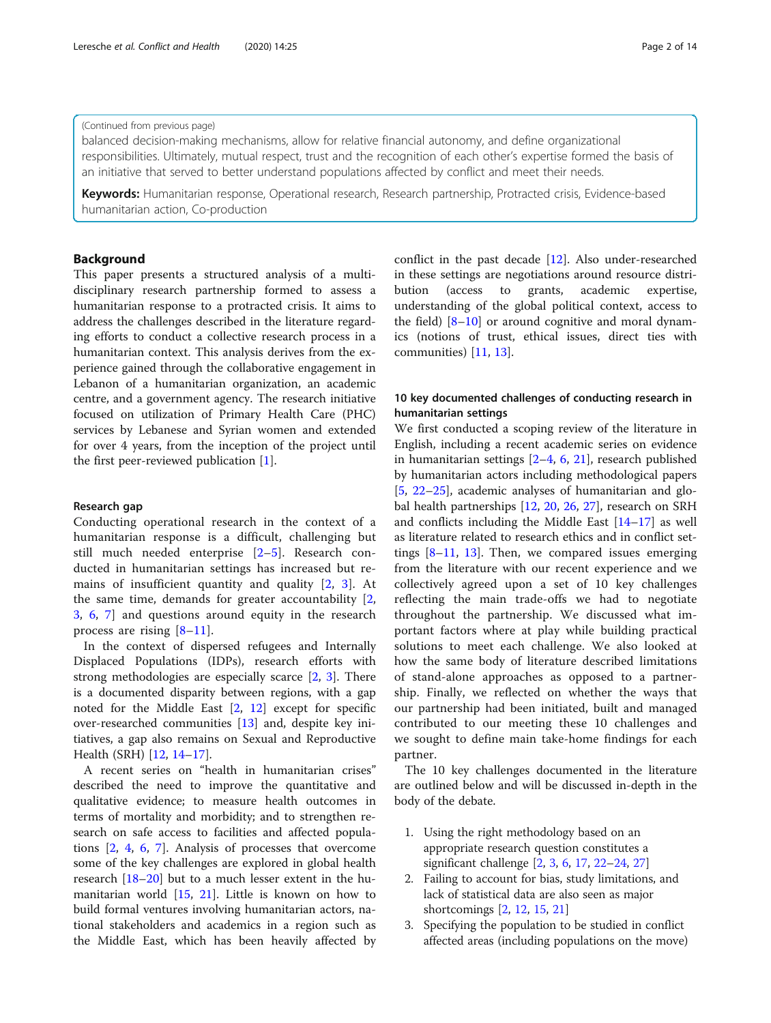#### (Continued from previous page)

balanced decision-making mechanisms, allow for relative financial autonomy, and define organizational responsibilities. Ultimately, mutual respect, trust and the recognition of each other's expertise formed the basis of an initiative that served to better understand populations affected by conflict and meet their needs.

Keywords: Humanitarian response, Operational research, Research partnership, Protracted crisis, Evidence-based humanitarian action, Co-production

## Background

This paper presents a structured analysis of a multidisciplinary research partnership formed to assess a humanitarian response to a protracted crisis. It aims to address the challenges described in the literature regarding efforts to conduct a collective research process in a humanitarian context. This analysis derives from the experience gained through the collaborative engagement in Lebanon of a humanitarian organization, an academic centre, and a government agency. The research initiative focused on utilization of Primary Health Care (PHC) services by Lebanese and Syrian women and extended for over 4 years, from the inception of the project until the first peer-reviewed publication [[1\]](#page-12-0).

#### Research gap

Conducting operational research in the context of a humanitarian response is a difficult, challenging but still much needed enterprise [[2](#page-12-0)–[5\]](#page-12-0). Research conducted in humanitarian settings has increased but remains of insufficient quantity and quality [\[2](#page-12-0), [3](#page-12-0)]. At the same time, demands for greater accountability [\[2](#page-12-0), [3,](#page-12-0) [6,](#page-12-0) [7](#page-12-0)] and questions around equity in the research process are rising  $[8-11]$  $[8-11]$  $[8-11]$  $[8-11]$ .

In the context of dispersed refugees and Internally Displaced Populations (IDPs), research efforts with strong methodologies are especially scarce [\[2,](#page-12-0) [3\]](#page-12-0). There is a documented disparity between regions, with a gap noted for the Middle East [[2,](#page-12-0) [12\]](#page-12-0) except for specific over-researched communities [[13](#page-12-0)] and, despite key initiatives, a gap also remains on Sexual and Reproductive Health (SRH) [\[12,](#page-12-0) [14](#page-12-0)–[17\]](#page-12-0).

A recent series on "health in humanitarian crises" described the need to improve the quantitative and qualitative evidence; to measure health outcomes in terms of mortality and morbidity; and to strengthen research on safe access to facilities and affected populations [[2,](#page-12-0) [4](#page-12-0), [6](#page-12-0), [7](#page-12-0)]. Analysis of processes that overcome some of the key challenges are explored in global health research [\[18](#page-12-0)–[20](#page-12-0)] but to a much lesser extent in the humanitarian world [\[15](#page-12-0), [21](#page-12-0)]. Little is known on how to build formal ventures involving humanitarian actors, national stakeholders and academics in a region such as the Middle East, which has been heavily affected by conflict in the past decade [\[12](#page-12-0)]. Also under-researched in these settings are negotiations around resource distribution (access to grants, academic expertise, understanding of the global political context, access to the field)  $[8-10]$  $[8-10]$  $[8-10]$  $[8-10]$  $[8-10]$  or around cognitive and moral dynamics (notions of trust, ethical issues, direct ties with communities) [\[11,](#page-12-0) [13\]](#page-12-0).

## 10 key documented challenges of conducting research in humanitarian settings

We first conducted a scoping review of the literature in English, including a recent academic series on evidence in humanitarian settings [[2](#page-12-0)–[4](#page-12-0), [6,](#page-12-0) [21](#page-12-0)], research published by humanitarian actors including methodological papers [[5,](#page-12-0) [22](#page-12-0)–[25\]](#page-12-0), academic analyses of humanitarian and global health partnerships [\[12](#page-12-0), [20](#page-12-0), [26](#page-12-0), [27\]](#page-12-0), research on SRH and conflicts including the Middle East [[14](#page-12-0)–[17](#page-12-0)] as well as literature related to research ethics and in conflict settings  $[8-11, 13]$  $[8-11, 13]$  $[8-11, 13]$  $[8-11, 13]$  $[8-11, 13]$  $[8-11, 13]$ . Then, we compared issues emerging from the literature with our recent experience and we collectively agreed upon a set of 10 key challenges reflecting the main trade-offs we had to negotiate throughout the partnership. We discussed what important factors where at play while building practical solutions to meet each challenge. We also looked at how the same body of literature described limitations of stand-alone approaches as opposed to a partnership. Finally, we reflected on whether the ways that our partnership had been initiated, built and managed contributed to our meeting these 10 challenges and we sought to define main take-home findings for each partner.

The 10 key challenges documented in the literature are outlined below and will be discussed in-depth in the body of the debate.

- 1. Using the right methodology based on an appropriate research question constitutes a significant challenge [[2,](#page-12-0) [3](#page-12-0), [6](#page-12-0), [17,](#page-12-0) [22](#page-12-0)–[24](#page-12-0), [27\]](#page-12-0)
- 2. Failing to account for bias, study limitations, and lack of statistical data are also seen as major shortcomings [[2,](#page-12-0) [12](#page-12-0), [15](#page-12-0), [21\]](#page-12-0)
- 3. Specifying the population to be studied in conflict affected areas (including populations on the move)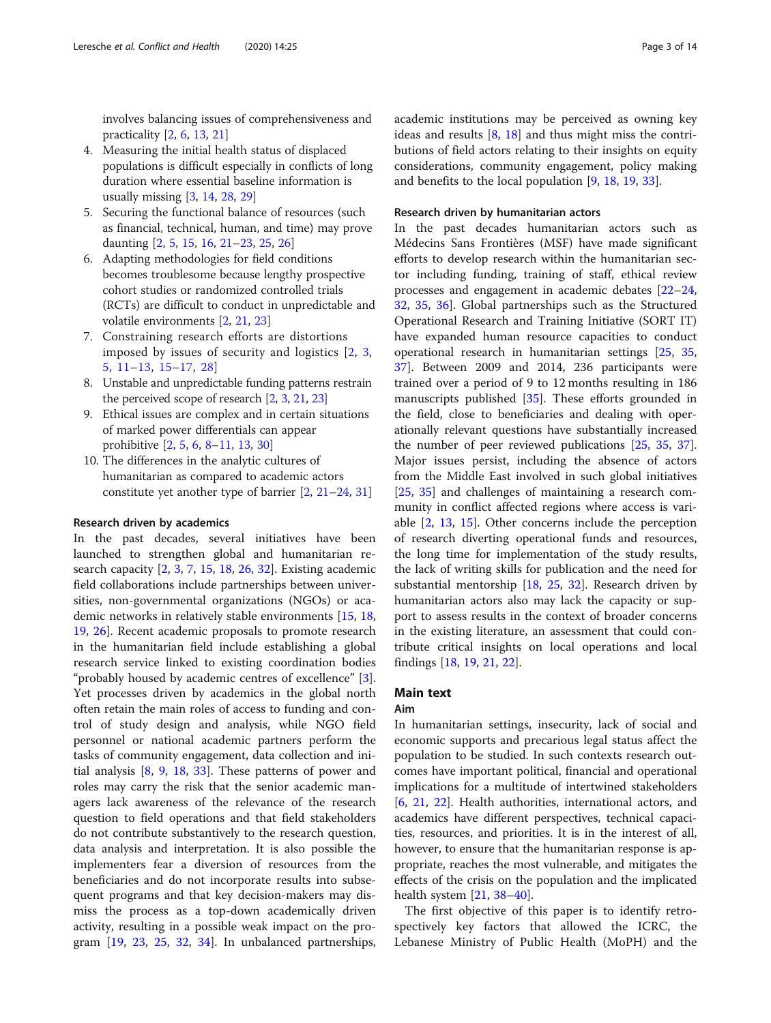involves balancing issues of comprehensiveness and practicality [[2](#page-12-0), [6](#page-12-0), [13](#page-12-0), [21\]](#page-12-0)

- 4. Measuring the initial health status of displaced populations is difficult especially in conflicts of long duration where essential baseline information is usually missing [\[3](#page-12-0), [14,](#page-12-0) [28,](#page-12-0) [29](#page-12-0)]
- 5. Securing the functional balance of resources (such as financial, technical, human, and time) may prove daunting [[2,](#page-12-0) [5,](#page-12-0) [15](#page-12-0), [16,](#page-12-0) [21](#page-12-0)–[23](#page-12-0), [25,](#page-12-0) [26\]](#page-12-0)
- 6. Adapting methodologies for field conditions becomes troublesome because lengthy prospective cohort studies or randomized controlled trials (RCTs) are difficult to conduct in unpredictable and volatile environments [\[2,](#page-12-0) [21,](#page-12-0) [23](#page-12-0)]
- 7. Constraining research efforts are distortions imposed by issues of security and logistics [[2](#page-12-0), [3](#page-12-0), [5](#page-12-0), [11](#page-12-0)–[13,](#page-12-0) [15](#page-12-0)–[17,](#page-12-0) [28](#page-12-0)]
- 8. Unstable and unpredictable funding patterns restrain the perceived scope of research [\[2,](#page-12-0) [3](#page-12-0), [21](#page-12-0), [23](#page-12-0)]
- 9. Ethical issues are complex and in certain situations of marked power differentials can appear prohibitive [[2,](#page-12-0) [5,](#page-12-0) [6](#page-12-0), [8](#page-12-0)–[11,](#page-12-0) [13,](#page-12-0) [30](#page-12-0)]
- 10. The differences in the analytic cultures of humanitarian as compared to academic actors constitute yet another type of barrier [[2,](#page-12-0) [21](#page-12-0)–[24,](#page-12-0) [31\]](#page-12-0)

#### Research driven by academics

In the past decades, several initiatives have been launched to strengthen global and humanitarian research capacity [[2](#page-12-0), [3](#page-12-0), [7](#page-12-0), [15](#page-12-0), [18](#page-12-0), [26](#page-12-0), [32\]](#page-12-0). Existing academic field collaborations include partnerships between universities, non-governmental organizations (NGOs) or academic networks in relatively stable environments [[15](#page-12-0), [18](#page-12-0), [19,](#page-12-0) [26](#page-12-0)]. Recent academic proposals to promote research in the humanitarian field include establishing a global research service linked to existing coordination bodies "probably housed by academic centres of excellence" [\[3](#page-12-0)]. Yet processes driven by academics in the global north often retain the main roles of access to funding and control of study design and analysis, while NGO field personnel or national academic partners perform the tasks of community engagement, data collection and initial analysis [[8,](#page-12-0) [9,](#page-12-0) [18,](#page-12-0) [33\]](#page-12-0). These patterns of power and roles may carry the risk that the senior academic managers lack awareness of the relevance of the research question to field operations and that field stakeholders do not contribute substantively to the research question, data analysis and interpretation. It is also possible the implementers fear a diversion of resources from the beneficiaries and do not incorporate results into subsequent programs and that key decision-makers may dismiss the process as a top-down academically driven activity, resulting in a possible weak impact on the program [[19](#page-12-0), [23](#page-12-0), [25](#page-12-0), [32,](#page-12-0) [34\]](#page-12-0). In unbalanced partnerships, academic institutions may be perceived as owning key

ideas and results [[8,](#page-12-0) [18](#page-12-0)] and thus might miss the contributions of field actors relating to their insights on equity considerations, community engagement, policy making and benefits to the local population [[9](#page-12-0), [18](#page-12-0), [19](#page-12-0), [33](#page-12-0)].

#### Research driven by humanitarian actors

In the past decades humanitarian actors such as Médecins Sans Frontières (MSF) have made significant efforts to develop research within the humanitarian sector including funding, training of staff, ethical review processes and engagement in academic debates [[22](#page-12-0)–[24](#page-12-0), [32,](#page-12-0) [35,](#page-12-0) [36\]](#page-12-0). Global partnerships such as the Structured Operational Research and Training Initiative (SORT IT) have expanded human resource capacities to conduct operational research in humanitarian settings [\[25,](#page-12-0) [35](#page-12-0), [37\]](#page-12-0). Between 2009 and 2014, 236 participants were trained over a period of 9 to 12 months resulting in 186 manuscripts published [[35\]](#page-12-0). These efforts grounded in the field, close to beneficiaries and dealing with operationally relevant questions have substantially increased the number of peer reviewed publications [[25](#page-12-0), [35,](#page-12-0) [37](#page-12-0)]. Major issues persist, including the absence of actors from the Middle East involved in such global initiatives [[25,](#page-12-0) [35\]](#page-12-0) and challenges of maintaining a research community in conflict affected regions where access is variable [\[2](#page-12-0), [13](#page-12-0), [15\]](#page-12-0). Other concerns include the perception of research diverting operational funds and resources, the long time for implementation of the study results, the lack of writing skills for publication and the need for substantial mentorship [[18,](#page-12-0) [25,](#page-12-0) [32\]](#page-12-0). Research driven by humanitarian actors also may lack the capacity or support to assess results in the context of broader concerns in the existing literature, an assessment that could contribute critical insights on local operations and local findings [\[18](#page-12-0), [19](#page-12-0), [21,](#page-12-0) [22\]](#page-12-0).

## Main text

#### Aim

In humanitarian settings, insecurity, lack of social and economic supports and precarious legal status affect the population to be studied. In such contexts research outcomes have important political, financial and operational implications for a multitude of intertwined stakeholders [[6,](#page-12-0) [21,](#page-12-0) [22](#page-12-0)]. Health authorities, international actors, and academics have different perspectives, technical capacities, resources, and priorities. It is in the interest of all, however, to ensure that the humanitarian response is appropriate, reaches the most vulnerable, and mitigates the effects of the crisis on the population and the implicated health system [[21](#page-12-0), [38](#page-12-0)–[40](#page-12-0)].

The first objective of this paper is to identify retrospectively key factors that allowed the ICRC, the Lebanese Ministry of Public Health (MoPH) and the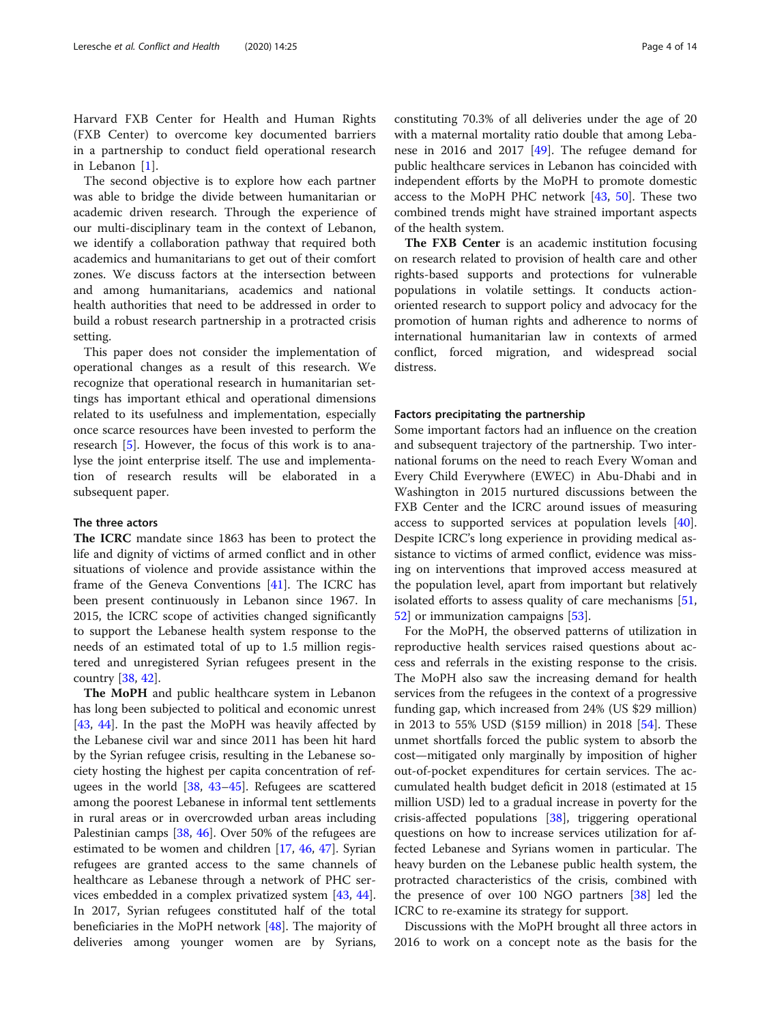Harvard FXB Center for Health and Human Rights (FXB Center) to overcome key documented barriers in a partnership to conduct field operational research in Lebanon [[1\]](#page-12-0).

The second objective is to explore how each partner was able to bridge the divide between humanitarian or academic driven research. Through the experience of our multi-disciplinary team in the context of Lebanon, we identify a collaboration pathway that required both academics and humanitarians to get out of their comfort zones. We discuss factors at the intersection between and among humanitarians, academics and national health authorities that need to be addressed in order to build a robust research partnership in a protracted crisis setting.

This paper does not consider the implementation of operational changes as a result of this research. We recognize that operational research in humanitarian settings has important ethical and operational dimensions related to its usefulness and implementation, especially once scarce resources have been invested to perform the research [[5\]](#page-12-0). However, the focus of this work is to analyse the joint enterprise itself. The use and implementation of research results will be elaborated in a subsequent paper.

## The three actors

The ICRC mandate since 1863 has been to protect the life and dignity of victims of armed conflict and in other situations of violence and provide assistance within the frame of the Geneva Conventions [\[41](#page-12-0)]. The ICRC has been present continuously in Lebanon since 1967. In 2015, the ICRC scope of activities changed significantly to support the Lebanese health system response to the needs of an estimated total of up to 1.5 million registered and unregistered Syrian refugees present in the country [\[38](#page-12-0), [42\]](#page-13-0).

The MoPH and public healthcare system in Lebanon has long been subjected to political and economic unrest [[43,](#page-13-0) [44\]](#page-13-0). In the past the MoPH was heavily affected by the Lebanese civil war and since 2011 has been hit hard by the Syrian refugee crisis, resulting in the Lebanese society hosting the highest per capita concentration of refugees in the world [[38,](#page-12-0) [43](#page-13-0)–[45\]](#page-13-0). Refugees are scattered among the poorest Lebanese in informal tent settlements in rural areas or in overcrowded urban areas including Palestinian camps [[38](#page-12-0), [46\]](#page-13-0). Over 50% of the refugees are estimated to be women and children [[17,](#page-12-0) [46](#page-13-0), [47](#page-13-0)]. Syrian refugees are granted access to the same channels of healthcare as Lebanese through a network of PHC services embedded in a complex privatized system [\[43,](#page-13-0) [44](#page-13-0)]. In 2017, Syrian refugees constituted half of the total beneficiaries in the MoPH network [[48\]](#page-13-0). The majority of deliveries among younger women are by Syrians, constituting 70.3% of all deliveries under the age of 20 with a maternal mortality ratio double that among Lebanese in 2016 and 2017 [\[49\]](#page-13-0). The refugee demand for public healthcare services in Lebanon has coincided with independent efforts by the MoPH to promote domestic access to the MoPH PHC network [[43](#page-13-0), [50](#page-13-0)]. These two combined trends might have strained important aspects of the health system.

The FXB Center is an academic institution focusing on research related to provision of health care and other rights-based supports and protections for vulnerable populations in volatile settings. It conducts actionoriented research to support policy and advocacy for the promotion of human rights and adherence to norms of international humanitarian law in contexts of armed conflict, forced migration, and widespread social distress.

## Factors precipitating the partnership

Some important factors had an influence on the creation and subsequent trajectory of the partnership. Two international forums on the need to reach Every Woman and Every Child Everywhere (EWEC) in Abu-Dhabi and in Washington in 2015 nurtured discussions between the FXB Center and the ICRC around issues of measuring access to supported services at population levels [\[40](#page-12-0)]. Despite ICRC's long experience in providing medical assistance to victims of armed conflict, evidence was missing on interventions that improved access measured at the population level, apart from important but relatively isolated efforts to assess quality of care mechanisms [[51](#page-13-0), [52\]](#page-13-0) or immunization campaigns [[53](#page-13-0)].

For the MoPH, the observed patterns of utilization in reproductive health services raised questions about access and referrals in the existing response to the crisis. The MoPH also saw the increasing demand for health services from the refugees in the context of a progressive funding gap, which increased from 24% (US \$29 million) in 2013 to 55% USD (\$159 million) in 2018 [\[54](#page-13-0)]. These unmet shortfalls forced the public system to absorb the cost—mitigated only marginally by imposition of higher out-of-pocket expenditures for certain services. The accumulated health budget deficit in 2018 (estimated at 15 million USD) led to a gradual increase in poverty for the crisis-affected populations [[38\]](#page-12-0), triggering operational questions on how to increase services utilization for affected Lebanese and Syrians women in particular. The heavy burden on the Lebanese public health system, the protracted characteristics of the crisis, combined with the presence of over 100 NGO partners [[38\]](#page-12-0) led the ICRC to re-examine its strategy for support.

Discussions with the MoPH brought all three actors in 2016 to work on a concept note as the basis for the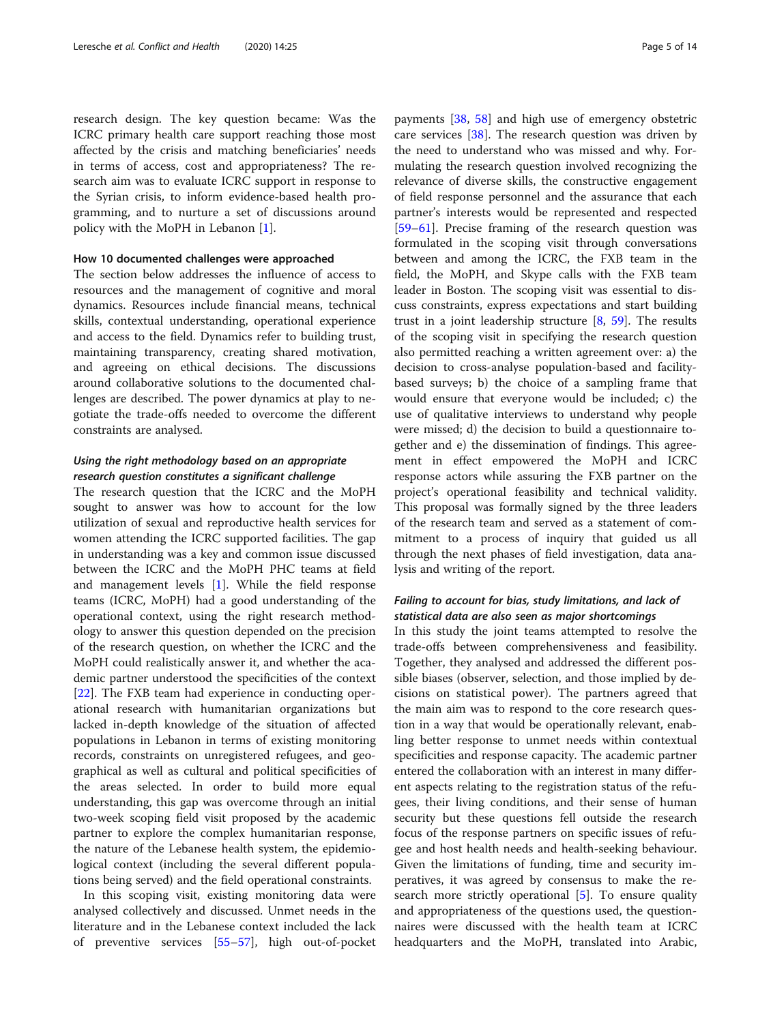research design. The key question became: Was the ICRC primary health care support reaching those most affected by the crisis and matching beneficiaries' needs in terms of access, cost and appropriateness? The research aim was to evaluate ICRC support in response to the Syrian crisis, to inform evidence-based health programming, and to nurture a set of discussions around policy with the MoPH in Lebanon [\[1](#page-12-0)].

## How 10 documented challenges were approached

The section below addresses the influence of access to resources and the management of cognitive and moral dynamics. Resources include financial means, technical skills, contextual understanding, operational experience and access to the field. Dynamics refer to building trust, maintaining transparency, creating shared motivation, and agreeing on ethical decisions. The discussions around collaborative solutions to the documented challenges are described. The power dynamics at play to negotiate the trade-offs needed to overcome the different constraints are analysed.

## Using the right methodology based on an appropriate research question constitutes a significant challenge

The research question that the ICRC and the MoPH sought to answer was how to account for the low utilization of sexual and reproductive health services for women attending the ICRC supported facilities. The gap in understanding was a key and common issue discussed between the ICRC and the MoPH PHC teams at field and management levels [[1\]](#page-12-0). While the field response teams (ICRC, MoPH) had a good understanding of the operational context, using the right research methodology to answer this question depended on the precision of the research question, on whether the ICRC and the MoPH could realistically answer it, and whether the academic partner understood the specificities of the context [[22\]](#page-12-0). The FXB team had experience in conducting operational research with humanitarian organizations but lacked in-depth knowledge of the situation of affected populations in Lebanon in terms of existing monitoring records, constraints on unregistered refugees, and geographical as well as cultural and political specificities of the areas selected. In order to build more equal understanding, this gap was overcome through an initial two-week scoping field visit proposed by the academic partner to explore the complex humanitarian response, the nature of the Lebanese health system, the epidemiological context (including the several different populations being served) and the field operational constraints.

In this scoping visit, existing monitoring data were analysed collectively and discussed. Unmet needs in the literature and in the Lebanese context included the lack of preventive services [\[55](#page-13-0)–[57\]](#page-13-0), high out-of-pocket payments [[38,](#page-12-0) [58\]](#page-13-0) and high use of emergency obstetric care services [\[38](#page-12-0)]. The research question was driven by the need to understand who was missed and why. Formulating the research question involved recognizing the relevance of diverse skills, the constructive engagement of field response personnel and the assurance that each partner's interests would be represented and respected [[59](#page-13-0)–[61](#page-13-0)]. Precise framing of the research question was formulated in the scoping visit through conversations between and among the ICRC, the FXB team in the field, the MoPH, and Skype calls with the FXB team leader in Boston. The scoping visit was essential to discuss constraints, express expectations and start building trust in a joint leadership structure  $[8, 59]$  $[8, 59]$  $[8, 59]$  $[8, 59]$ . The results of the scoping visit in specifying the research question also permitted reaching a written agreement over: a) the decision to cross-analyse population-based and facilitybased surveys; b) the choice of a sampling frame that would ensure that everyone would be included; c) the use of qualitative interviews to understand why people were missed; d) the decision to build a questionnaire together and e) the dissemination of findings. This agreement in effect empowered the MoPH and ICRC response actors while assuring the FXB partner on the project's operational feasibility and technical validity. This proposal was formally signed by the three leaders of the research team and served as a statement of commitment to a process of inquiry that guided us all through the next phases of field investigation, data analysis and writing of the report.

## Failing to account for bias, study limitations, and lack of statistical data are also seen as major shortcomings

In this study the joint teams attempted to resolve the trade-offs between comprehensiveness and feasibility. Together, they analysed and addressed the different possible biases (observer, selection, and those implied by decisions on statistical power). The partners agreed that the main aim was to respond to the core research question in a way that would be operationally relevant, enabling better response to unmet needs within contextual specificities and response capacity. The academic partner entered the collaboration with an interest in many different aspects relating to the registration status of the refugees, their living conditions, and their sense of human security but these questions fell outside the research focus of the response partners on specific issues of refugee and host health needs and health-seeking behaviour. Given the limitations of funding, time and security imperatives, it was agreed by consensus to make the research more strictly operational [[5\]](#page-12-0). To ensure quality and appropriateness of the questions used, the questionnaires were discussed with the health team at ICRC headquarters and the MoPH, translated into Arabic,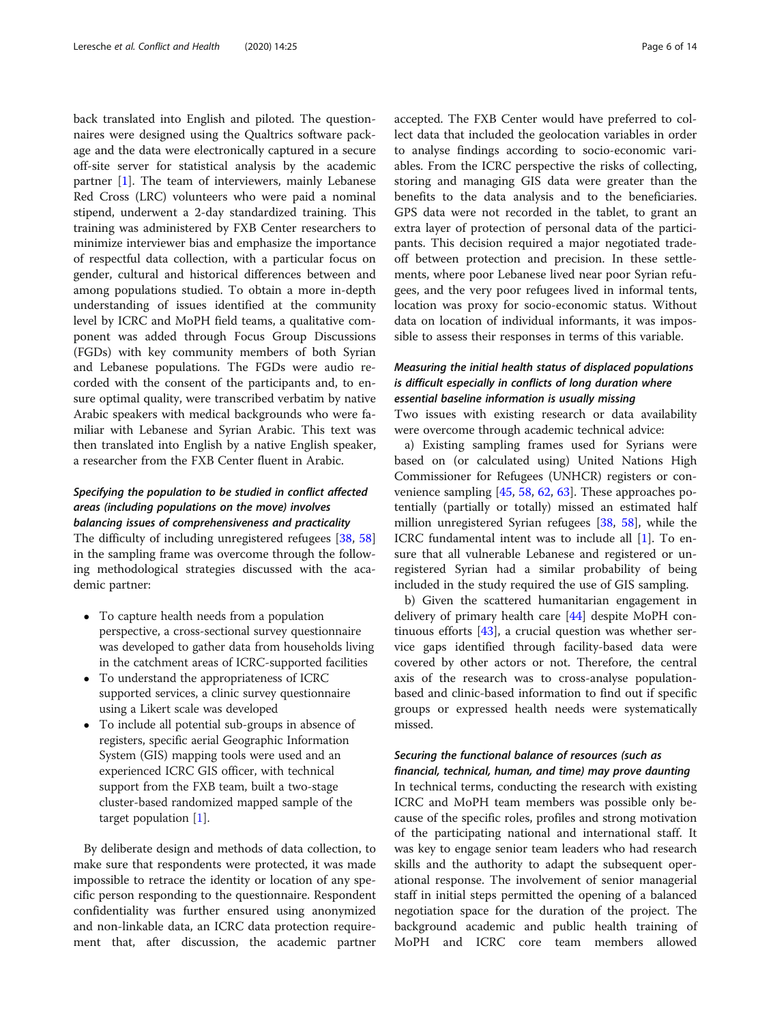back translated into English and piloted. The questionnaires were designed using the Qualtrics software package and the data were electronically captured in a secure off-site server for statistical analysis by the academic partner [\[1\]](#page-12-0). The team of interviewers, mainly Lebanese Red Cross (LRC) volunteers who were paid a nominal stipend, underwent a 2-day standardized training. This training was administered by FXB Center researchers to minimize interviewer bias and emphasize the importance of respectful data collection, with a particular focus on gender, cultural and historical differences between and among populations studied. To obtain a more in-depth understanding of issues identified at the community level by ICRC and MoPH field teams, a qualitative component was added through Focus Group Discussions (FGDs) with key community members of both Syrian and Lebanese populations. The FGDs were audio recorded with the consent of the participants and, to ensure optimal quality, were transcribed verbatim by native Arabic speakers with medical backgrounds who were familiar with Lebanese and Syrian Arabic. This text was then translated into English by a native English speaker, a researcher from the FXB Center fluent in Arabic.

## Specifying the population to be studied in conflict affected areas (including populations on the move) involves balancing issues of comprehensiveness and practicality

The difficulty of including unregistered refugees [\[38](#page-12-0), [58](#page-13-0)] in the sampling frame was overcome through the following methodological strategies discussed with the academic partner:

- To capture health needs from a population perspective, a cross-sectional survey questionnaire was developed to gather data from households living in the catchment areas of ICRC-supported facilities
- To understand the appropriateness of ICRC supported services, a clinic survey questionnaire using a Likert scale was developed
- To include all potential sub-groups in absence of registers, specific aerial Geographic Information System (GIS) mapping tools were used and an experienced ICRC GIS officer, with technical support from the FXB team, built a two-stage cluster-based randomized mapped sample of the target population [\[1\]](#page-12-0).

By deliberate design and methods of data collection, to make sure that respondents were protected, it was made impossible to retrace the identity or location of any specific person responding to the questionnaire. Respondent confidentiality was further ensured using anonymized and non-linkable data, an ICRC data protection requirement that, after discussion, the academic partner accepted. The FXB Center would have preferred to collect data that included the geolocation variables in order to analyse findings according to socio-economic variables. From the ICRC perspective the risks of collecting, storing and managing GIS data were greater than the benefits to the data analysis and to the beneficiaries. GPS data were not recorded in the tablet, to grant an extra layer of protection of personal data of the participants. This decision required a major negotiated tradeoff between protection and precision. In these settlements, where poor Lebanese lived near poor Syrian refugees, and the very poor refugees lived in informal tents, location was proxy for socio-economic status. Without data on location of individual informants, it was impossible to assess their responses in terms of this variable.

## Measuring the initial health status of displaced populations is difficult especially in conflicts of long duration where essential baseline information is usually missing

Two issues with existing research or data availability were overcome through academic technical advice:

a) Existing sampling frames used for Syrians were based on (or calculated using) United Nations High Commissioner for Refugees (UNHCR) registers or convenience sampling [[45,](#page-13-0) [58,](#page-13-0) [62](#page-13-0), [63](#page-13-0)]. These approaches potentially (partially or totally) missed an estimated half million unregistered Syrian refugees [[38,](#page-12-0) [58\]](#page-13-0), while the ICRC fundamental intent was to include all [[1](#page-12-0)]. To ensure that all vulnerable Lebanese and registered or unregistered Syrian had a similar probability of being included in the study required the use of GIS sampling.

b) Given the scattered humanitarian engagement in delivery of primary health care [\[44\]](#page-13-0) despite MoPH continuous efforts [[43](#page-13-0)], a crucial question was whether service gaps identified through facility-based data were covered by other actors or not. Therefore, the central axis of the research was to cross-analyse populationbased and clinic-based information to find out if specific groups or expressed health needs were systematically missed.

## Securing the functional balance of resources (such as financial, technical, human, and time) may prove daunting

In technical terms, conducting the research with existing ICRC and MoPH team members was possible only because of the specific roles, profiles and strong motivation of the participating national and international staff. It was key to engage senior team leaders who had research skills and the authority to adapt the subsequent operational response. The involvement of senior managerial staff in initial steps permitted the opening of a balanced negotiation space for the duration of the project. The background academic and public health training of MoPH and ICRC core team members allowed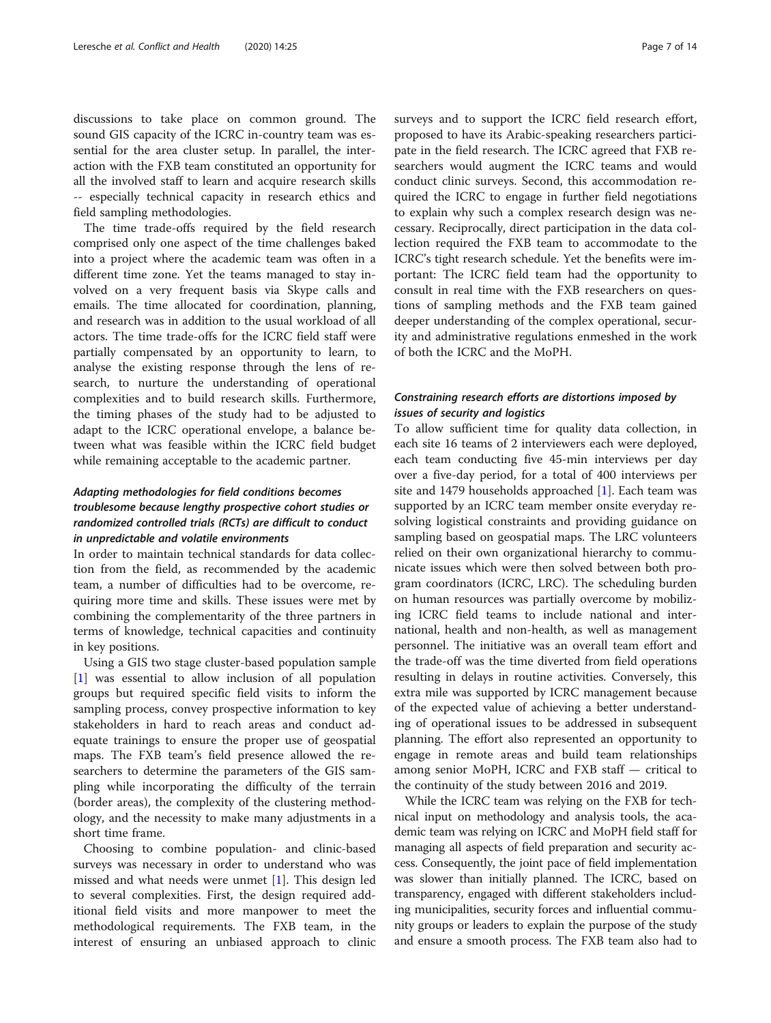discussions to take place on common ground. The sound GIS capacity of the ICRC in-country team was essential for the area cluster setup. In parallel, the interaction with the FXB team constituted an opportunity for all the involved staff to learn and acquire research skills -- especially technical capacity in research ethics and field sampling methodologies.

The time trade-offs required by the field research comprised only one aspect of the time challenges baked into a project where the academic team was often in a different time zone. Yet the teams managed to stay involved on a very frequent basis via Skype calls and emails. The time allocated for coordination, planning, and research was in addition to the usual workload of all actors. The time trade-offs for the ICRC field staff were partially compensated by an opportunity to learn, to analyse the existing response through the lens of research, to nurture the understanding of operational complexities and to build research skills. Furthermore, the timing phases of the study had to be adjusted to adapt to the ICRC operational envelope, a balance between what was feasible within the ICRC field budget while remaining acceptable to the academic partner.

## Adapting methodologies for field conditions becomes troublesome because lengthy prospective cohort studies or randomized controlled trials (RCTs) are difficult to conduct in unpredictable and volatile environments

In order to maintain technical standards for data collection from the field, as recommended by the academic team, a number of difficulties had to be overcome, requiring more time and skills. These issues were met by combining the complementarity of the three partners in terms of knowledge, technical capacities and continuity in key positions.

Using a GIS two stage cluster-based population sample [[1\]](#page-12-0) was essential to allow inclusion of all population groups but required specific field visits to inform the sampling process, convey prospective information to key stakeholders in hard to reach areas and conduct adequate trainings to ensure the proper use of geospatial maps. The FXB team's field presence allowed the researchers to determine the parameters of the GIS sampling while incorporating the difficulty of the terrain (border areas), the complexity of the clustering methodology, and the necessity to make many adjustments in a short time frame.

Choosing to combine population- and clinic-based surveys was necessary in order to understand who was missed and what needs were unmet [\[1\]](#page-12-0). This design led to several complexities. First, the design required additional field visits and more manpower to meet the methodological requirements. The FXB team, in the interest of ensuring an unbiased approach to clinic surveys and to support the ICRC field research effort, proposed to have its Arabic-speaking researchers participate in the field research. The ICRC agreed that FXB researchers would augment the ICRC teams and would conduct clinic surveys. Second, this accommodation required the ICRC to engage in further field negotiations to explain why such a complex research design was necessary. Reciprocally, direct participation in the data collection required the FXB team to accommodate to the ICRC's tight research schedule. Yet the benefits were important: The ICRC field team had the opportunity to consult in real time with the FXB researchers on questions of sampling methods and the FXB team gained deeper understanding of the complex operational, security and administrative regulations enmeshed in the work of both the ICRC and the MoPH.

## Constraining research efforts are distortions imposed by issues of security and logistics

To allow sufficient time for quality data collection, in each site 16 teams of 2 interviewers each were deployed, each team conducting five 45-min interviews per day over a five-day period, for a total of 400 interviews per site and 1479 households approached [[1\]](#page-12-0). Each team was supported by an ICRC team member onsite everyday resolving logistical constraints and providing guidance on sampling based on geospatial maps. The LRC volunteers relied on their own organizational hierarchy to communicate issues which were then solved between both program coordinators (ICRC, LRC). The scheduling burden on human resources was partially overcome by mobilizing ICRC field teams to include national and international, health and non-health, as well as management personnel. The initiative was an overall team effort and the trade-off was the time diverted from field operations resulting in delays in routine activities. Conversely, this extra mile was supported by ICRC management because of the expected value of achieving a better understanding of operational issues to be addressed in subsequent planning. The effort also represented an opportunity to engage in remote areas and build team relationships among senior MoPH, ICRC and FXB staff — critical to the continuity of the study between 2016 and 2019.

While the ICRC team was relying on the FXB for technical input on methodology and analysis tools, the academic team was relying on ICRC and MoPH field staff for managing all aspects of field preparation and security access. Consequently, the joint pace of field implementation was slower than initially planned. The ICRC, based on transparency, engaged with different stakeholders including municipalities, security forces and influential community groups or leaders to explain the purpose of the study and ensure a smooth process. The FXB team also had to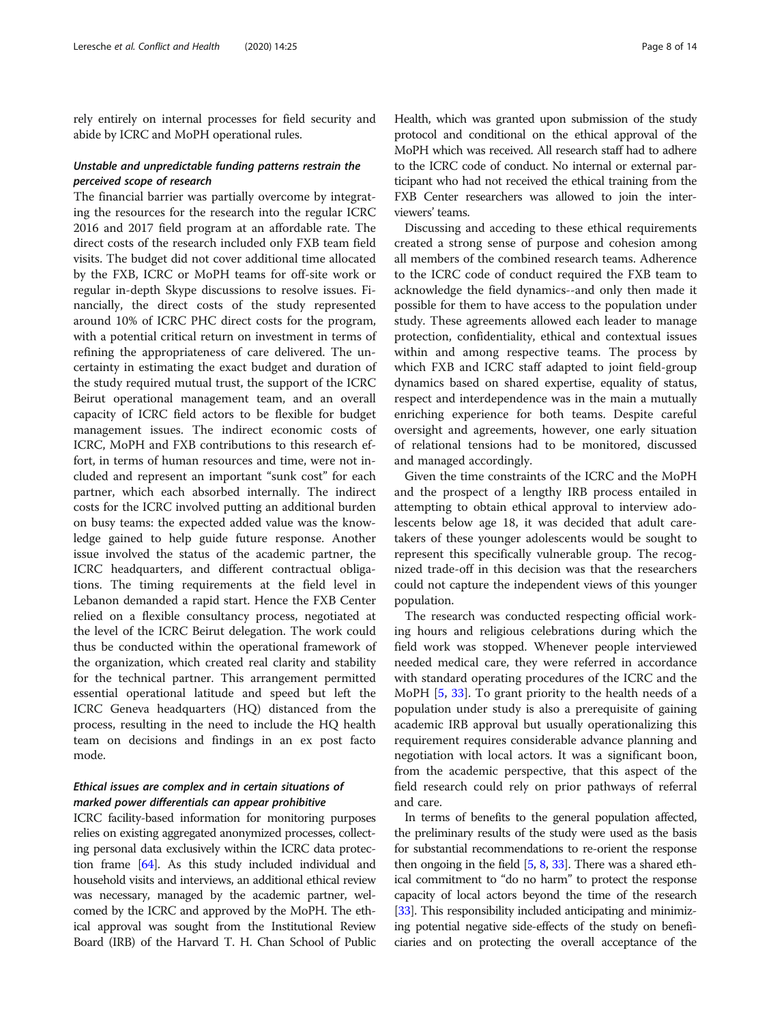rely entirely on internal processes for field security and abide by ICRC and MoPH operational rules.

## Unstable and unpredictable funding patterns restrain the perceived scope of research

The financial barrier was partially overcome by integrating the resources for the research into the regular ICRC 2016 and 2017 field program at an affordable rate. The direct costs of the research included only FXB team field visits. The budget did not cover additional time allocated by the FXB, ICRC or MoPH teams for off-site work or regular in-depth Skype discussions to resolve issues. Financially, the direct costs of the study represented around 10% of ICRC PHC direct costs for the program, with a potential critical return on investment in terms of refining the appropriateness of care delivered. The uncertainty in estimating the exact budget and duration of the study required mutual trust, the support of the ICRC Beirut operational management team, and an overall capacity of ICRC field actors to be flexible for budget management issues. The indirect economic costs of ICRC, MoPH and FXB contributions to this research effort, in terms of human resources and time, were not included and represent an important "sunk cost" for each partner, which each absorbed internally. The indirect costs for the ICRC involved putting an additional burden on busy teams: the expected added value was the knowledge gained to help guide future response. Another issue involved the status of the academic partner, the ICRC headquarters, and different contractual obligations. The timing requirements at the field level in Lebanon demanded a rapid start. Hence the FXB Center relied on a flexible consultancy process, negotiated at the level of the ICRC Beirut delegation. The work could thus be conducted within the operational framework of the organization, which created real clarity and stability for the technical partner. This arrangement permitted essential operational latitude and speed but left the ICRC Geneva headquarters (HQ) distanced from the process, resulting in the need to include the HQ health team on decisions and findings in an ex post facto mode.

## Ethical issues are complex and in certain situations of marked power differentials can appear prohibitive

ICRC facility-based information for monitoring purposes relies on existing aggregated anonymized processes, collecting personal data exclusively within the ICRC data protection frame [\[64\]](#page-13-0). As this study included individual and household visits and interviews, an additional ethical review was necessary, managed by the academic partner, welcomed by the ICRC and approved by the MoPH. The ethical approval was sought from the Institutional Review Board (IRB) of the Harvard T. H. Chan School of Public Health, which was granted upon submission of the study protocol and conditional on the ethical approval of the MoPH which was received. All research staff had to adhere to the ICRC code of conduct. No internal or external participant who had not received the ethical training from the FXB Center researchers was allowed to join the interviewers' teams.

Discussing and acceding to these ethical requirements created a strong sense of purpose and cohesion among all members of the combined research teams. Adherence to the ICRC code of conduct required the FXB team to acknowledge the field dynamics--and only then made it possible for them to have access to the population under study. These agreements allowed each leader to manage protection, confidentiality, ethical and contextual issues within and among respective teams. The process by which FXB and ICRC staff adapted to joint field-group dynamics based on shared expertise, equality of status, respect and interdependence was in the main a mutually enriching experience for both teams. Despite careful oversight and agreements, however, one early situation of relational tensions had to be monitored, discussed and managed accordingly.

Given the time constraints of the ICRC and the MoPH and the prospect of a lengthy IRB process entailed in attempting to obtain ethical approval to interview adolescents below age 18, it was decided that adult caretakers of these younger adolescents would be sought to represent this specifically vulnerable group. The recognized trade-off in this decision was that the researchers could not capture the independent views of this younger population.

The research was conducted respecting official working hours and religious celebrations during which the field work was stopped. Whenever people interviewed needed medical care, they were referred in accordance with standard operating procedures of the ICRC and the MoPH [\[5](#page-12-0), [33\]](#page-12-0). To grant priority to the health needs of a population under study is also a prerequisite of gaining academic IRB approval but usually operationalizing this requirement requires considerable advance planning and negotiation with local actors. It was a significant boon, from the academic perspective, that this aspect of the field research could rely on prior pathways of referral and care.

In terms of benefits to the general population affected, the preliminary results of the study were used as the basis for substantial recommendations to re-orient the response then ongoing in the field  $[5, 8, 33]$  $[5, 8, 33]$  $[5, 8, 33]$  $[5, 8, 33]$  $[5, 8, 33]$  $[5, 8, 33]$ . There was a shared ethical commitment to "do no harm" to protect the response capacity of local actors beyond the time of the research [[33](#page-12-0)]. This responsibility included anticipating and minimizing potential negative side-effects of the study on beneficiaries and on protecting the overall acceptance of the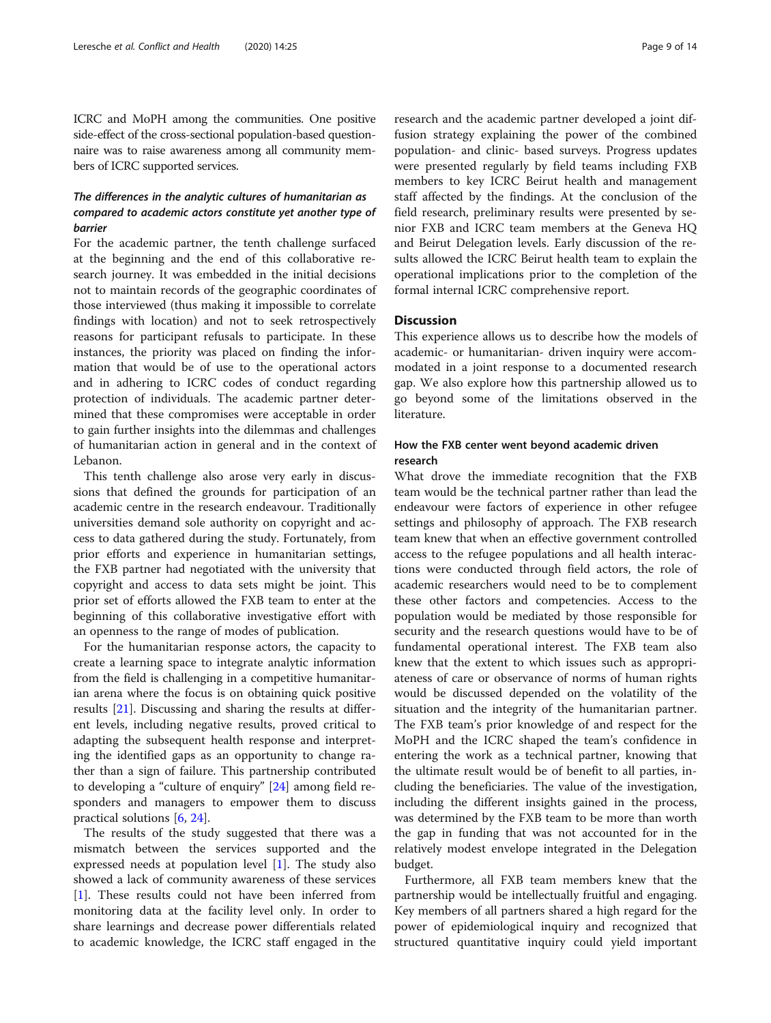ICRC and MoPH among the communities. One positive side-effect of the cross-sectional population-based questionnaire was to raise awareness among all community members of ICRC supported services.

## The differences in the analytic cultures of humanitarian as compared to academic actors constitute yet another type of barrier

For the academic partner, the tenth challenge surfaced at the beginning and the end of this collaborative research journey. It was embedded in the initial decisions not to maintain records of the geographic coordinates of those interviewed (thus making it impossible to correlate findings with location) and not to seek retrospectively reasons for participant refusals to participate. In these instances, the priority was placed on finding the information that would be of use to the operational actors and in adhering to ICRC codes of conduct regarding protection of individuals. The academic partner determined that these compromises were acceptable in order to gain further insights into the dilemmas and challenges of humanitarian action in general and in the context of Lebanon.

This tenth challenge also arose very early in discussions that defined the grounds for participation of an academic centre in the research endeavour. Traditionally universities demand sole authority on copyright and access to data gathered during the study. Fortunately, from prior efforts and experience in humanitarian settings, the FXB partner had negotiated with the university that copyright and access to data sets might be joint. This prior set of efforts allowed the FXB team to enter at the beginning of this collaborative investigative effort with an openness to the range of modes of publication.

For the humanitarian response actors, the capacity to create a learning space to integrate analytic information from the field is challenging in a competitive humanitarian arena where the focus is on obtaining quick positive results [\[21\]](#page-12-0). Discussing and sharing the results at different levels, including negative results, proved critical to adapting the subsequent health response and interpreting the identified gaps as an opportunity to change rather than a sign of failure. This partnership contributed to developing a "culture of enquiry" [[24\]](#page-12-0) among field responders and managers to empower them to discuss practical solutions [\[6](#page-12-0), [24](#page-12-0)].

The results of the study suggested that there was a mismatch between the services supported and the expressed needs at population level [[1\]](#page-12-0). The study also showed a lack of community awareness of these services [[1\]](#page-12-0). These results could not have been inferred from monitoring data at the facility level only. In order to share learnings and decrease power differentials related to academic knowledge, the ICRC staff engaged in the

research and the academic partner developed a joint diffusion strategy explaining the power of the combined population- and clinic- based surveys. Progress updates were presented regularly by field teams including FXB members to key ICRC Beirut health and management staff affected by the findings. At the conclusion of the field research, preliminary results were presented by senior FXB and ICRC team members at the Geneva HQ and Beirut Delegation levels. Early discussion of the results allowed the ICRC Beirut health team to explain the operational implications prior to the completion of the formal internal ICRC comprehensive report.

## **Discussion**

This experience allows us to describe how the models of academic- or humanitarian- driven inquiry were accommodated in a joint response to a documented research gap. We also explore how this partnership allowed us to go beyond some of the limitations observed in the literature.

## How the FXB center went beyond academic driven research

What drove the immediate recognition that the FXB team would be the technical partner rather than lead the endeavour were factors of experience in other refugee settings and philosophy of approach. The FXB research team knew that when an effective government controlled access to the refugee populations and all health interactions were conducted through field actors, the role of academic researchers would need to be to complement these other factors and competencies. Access to the population would be mediated by those responsible for security and the research questions would have to be of fundamental operational interest. The FXB team also knew that the extent to which issues such as appropriateness of care or observance of norms of human rights would be discussed depended on the volatility of the situation and the integrity of the humanitarian partner. The FXB team's prior knowledge of and respect for the MoPH and the ICRC shaped the team's confidence in entering the work as a technical partner, knowing that the ultimate result would be of benefit to all parties, including the beneficiaries. The value of the investigation, including the different insights gained in the process, was determined by the FXB team to be more than worth the gap in funding that was not accounted for in the relatively modest envelope integrated in the Delegation budget.

Furthermore, all FXB team members knew that the partnership would be intellectually fruitful and engaging. Key members of all partners shared a high regard for the power of epidemiological inquiry and recognized that structured quantitative inquiry could yield important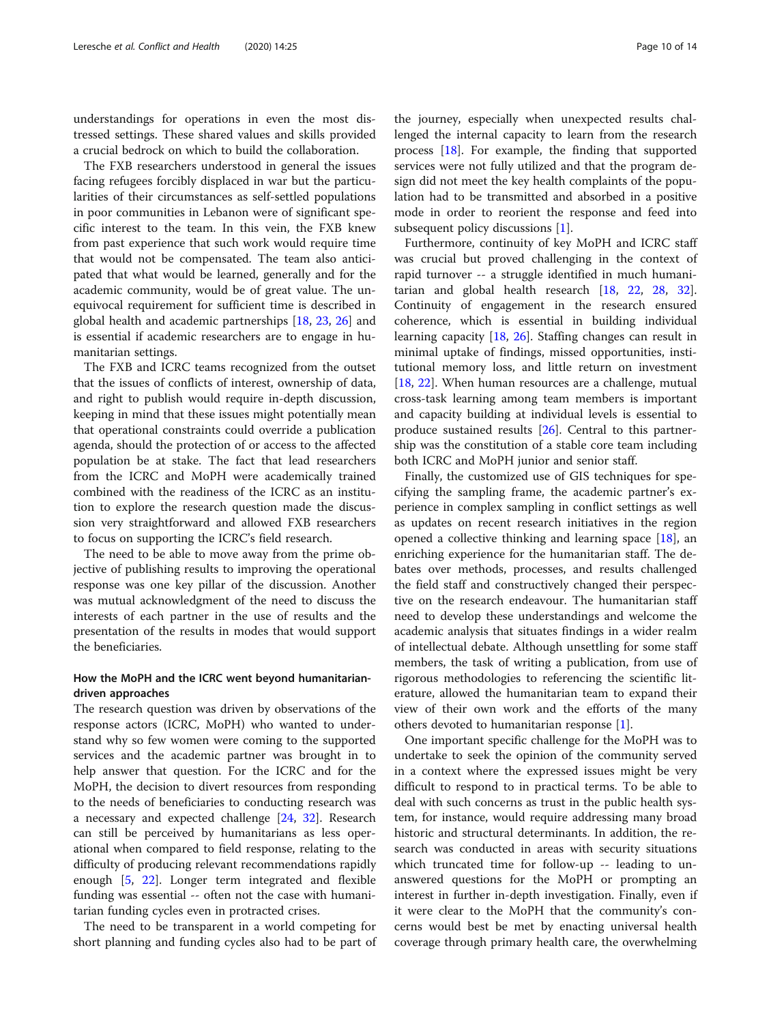understandings for operations in even the most distressed settings. These shared values and skills provided a crucial bedrock on which to build the collaboration.

The FXB researchers understood in general the issues facing refugees forcibly displaced in war but the particularities of their circumstances as self-settled populations in poor communities in Lebanon were of significant specific interest to the team. In this vein, the FXB knew from past experience that such work would require time that would not be compensated. The team also anticipated that what would be learned, generally and for the academic community, would be of great value. The unequivocal requirement for sufficient time is described in global health and academic partnerships [\[18,](#page-12-0) [23,](#page-12-0) [26](#page-12-0)] and is essential if academic researchers are to engage in humanitarian settings.

The FXB and ICRC teams recognized from the outset that the issues of conflicts of interest, ownership of data, and right to publish would require in-depth discussion, keeping in mind that these issues might potentially mean that operational constraints could override a publication agenda, should the protection of or access to the affected population be at stake. The fact that lead researchers from the ICRC and MoPH were academically trained combined with the readiness of the ICRC as an institution to explore the research question made the discussion very straightforward and allowed FXB researchers to focus on supporting the ICRC's field research.

The need to be able to move away from the prime objective of publishing results to improving the operational response was one key pillar of the discussion. Another was mutual acknowledgment of the need to discuss the interests of each partner in the use of results and the presentation of the results in modes that would support the beneficiaries.

## How the MoPH and the ICRC went beyond humanitariandriven approaches

The research question was driven by observations of the response actors (ICRC, MoPH) who wanted to understand why so few women were coming to the supported services and the academic partner was brought in to help answer that question. For the ICRC and for the MoPH, the decision to divert resources from responding to the needs of beneficiaries to conducting research was a necessary and expected challenge [\[24,](#page-12-0) [32\]](#page-12-0). Research can still be perceived by humanitarians as less operational when compared to field response, relating to the difficulty of producing relevant recommendations rapidly enough [\[5](#page-12-0), [22\]](#page-12-0). Longer term integrated and flexible funding was essential -- often not the case with humanitarian funding cycles even in protracted crises.

The need to be transparent in a world competing for short planning and funding cycles also had to be part of

the journey, especially when unexpected results challenged the internal capacity to learn from the research process [\[18](#page-12-0)]. For example, the finding that supported services were not fully utilized and that the program design did not meet the key health complaints of the population had to be transmitted and absorbed in a positive mode in order to reorient the response and feed into subsequent policy discussions [[1](#page-12-0)].

Furthermore, continuity of key MoPH and ICRC staff was crucial but proved challenging in the context of rapid turnover -- a struggle identified in much humanitarian and global health research [\[18,](#page-12-0) [22,](#page-12-0) [28](#page-12-0), [32](#page-12-0)]. Continuity of engagement in the research ensured coherence, which is essential in building individual learning capacity [\[18](#page-12-0), [26\]](#page-12-0). Staffing changes can result in minimal uptake of findings, missed opportunities, institutional memory loss, and little return on investment [[18,](#page-12-0) [22\]](#page-12-0). When human resources are a challenge, mutual cross-task learning among team members is important and capacity building at individual levels is essential to produce sustained results  $[26]$ . Central to this partnership was the constitution of a stable core team including both ICRC and MoPH junior and senior staff.

Finally, the customized use of GIS techniques for specifying the sampling frame, the academic partner's experience in complex sampling in conflict settings as well as updates on recent research initiatives in the region opened a collective thinking and learning space  $[18]$  $[18]$ , an enriching experience for the humanitarian staff. The debates over methods, processes, and results challenged the field staff and constructively changed their perspective on the research endeavour. The humanitarian staff need to develop these understandings and welcome the academic analysis that situates findings in a wider realm of intellectual debate. Although unsettling for some staff members, the task of writing a publication, from use of rigorous methodologies to referencing the scientific literature, allowed the humanitarian team to expand their view of their own work and the efforts of the many others devoted to humanitarian response [[1\]](#page-12-0).

One important specific challenge for the MoPH was to undertake to seek the opinion of the community served in a context where the expressed issues might be very difficult to respond to in practical terms. To be able to deal with such concerns as trust in the public health system, for instance, would require addressing many broad historic and structural determinants. In addition, the research was conducted in areas with security situations which truncated time for follow-up -- leading to unanswered questions for the MoPH or prompting an interest in further in-depth investigation. Finally, even if it were clear to the MoPH that the community's concerns would best be met by enacting universal health coverage through primary health care, the overwhelming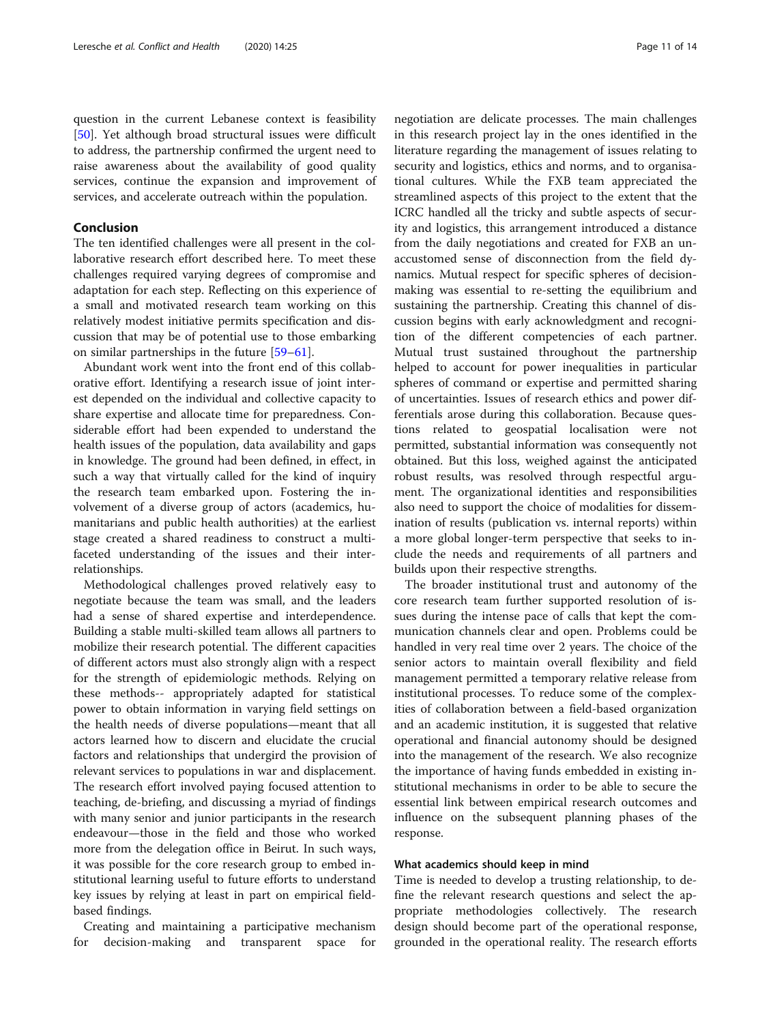question in the current Lebanese context is feasibility [[50\]](#page-13-0). Yet although broad structural issues were difficult to address, the partnership confirmed the urgent need to raise awareness about the availability of good quality services, continue the expansion and improvement of services, and accelerate outreach within the population.

## Conclusion

The ten identified challenges were all present in the collaborative research effort described here. To meet these challenges required varying degrees of compromise and adaptation for each step. Reflecting on this experience of a small and motivated research team working on this relatively modest initiative permits specification and discussion that may be of potential use to those embarking on similar partnerships in the future [[59](#page-13-0)–[61\]](#page-13-0).

Abundant work went into the front end of this collaborative effort. Identifying a research issue of joint interest depended on the individual and collective capacity to share expertise and allocate time for preparedness. Considerable effort had been expended to understand the health issues of the population, data availability and gaps in knowledge. The ground had been defined, in effect, in such a way that virtually called for the kind of inquiry the research team embarked upon. Fostering the involvement of a diverse group of actors (academics, humanitarians and public health authorities) at the earliest stage created a shared readiness to construct a multifaceted understanding of the issues and their interrelationships.

Methodological challenges proved relatively easy to negotiate because the team was small, and the leaders had a sense of shared expertise and interdependence. Building a stable multi-skilled team allows all partners to mobilize their research potential. The different capacities of different actors must also strongly align with a respect for the strength of epidemiologic methods. Relying on these methods-- appropriately adapted for statistical power to obtain information in varying field settings on the health needs of diverse populations—meant that all actors learned how to discern and elucidate the crucial factors and relationships that undergird the provision of relevant services to populations in war and displacement. The research effort involved paying focused attention to teaching, de-briefing, and discussing a myriad of findings with many senior and junior participants in the research endeavour—those in the field and those who worked more from the delegation office in Beirut. In such ways, it was possible for the core research group to embed institutional learning useful to future efforts to understand key issues by relying at least in part on empirical fieldbased findings.

Creating and maintaining a participative mechanism for decision-making and transparent space for

negotiation are delicate processes. The main challenges in this research project lay in the ones identified in the literature regarding the management of issues relating to security and logistics, ethics and norms, and to organisational cultures. While the FXB team appreciated the streamlined aspects of this project to the extent that the ICRC handled all the tricky and subtle aspects of security and logistics, this arrangement introduced a distance from the daily negotiations and created for FXB an unaccustomed sense of disconnection from the field dynamics. Mutual respect for specific spheres of decisionmaking was essential to re-setting the equilibrium and sustaining the partnership. Creating this channel of discussion begins with early acknowledgment and recognition of the different competencies of each partner. Mutual trust sustained throughout the partnership helped to account for power inequalities in particular spheres of command or expertise and permitted sharing of uncertainties. Issues of research ethics and power differentials arose during this collaboration. Because questions related to geospatial localisation were not permitted, substantial information was consequently not obtained. But this loss, weighed against the anticipated robust results, was resolved through respectful argument. The organizational identities and responsibilities also need to support the choice of modalities for dissemination of results (publication vs. internal reports) within a more global longer-term perspective that seeks to include the needs and requirements of all partners and builds upon their respective strengths.

The broader institutional trust and autonomy of the core research team further supported resolution of issues during the intense pace of calls that kept the communication channels clear and open. Problems could be handled in very real time over 2 years. The choice of the senior actors to maintain overall flexibility and field management permitted a temporary relative release from institutional processes. To reduce some of the complexities of collaboration between a field-based organization and an academic institution, it is suggested that relative operational and financial autonomy should be designed into the management of the research. We also recognize the importance of having funds embedded in existing institutional mechanisms in order to be able to secure the essential link between empirical research outcomes and influence on the subsequent planning phases of the response.

## What academics should keep in mind

Time is needed to develop a trusting relationship, to define the relevant research questions and select the appropriate methodologies collectively. The research design should become part of the operational response, grounded in the operational reality. The research efforts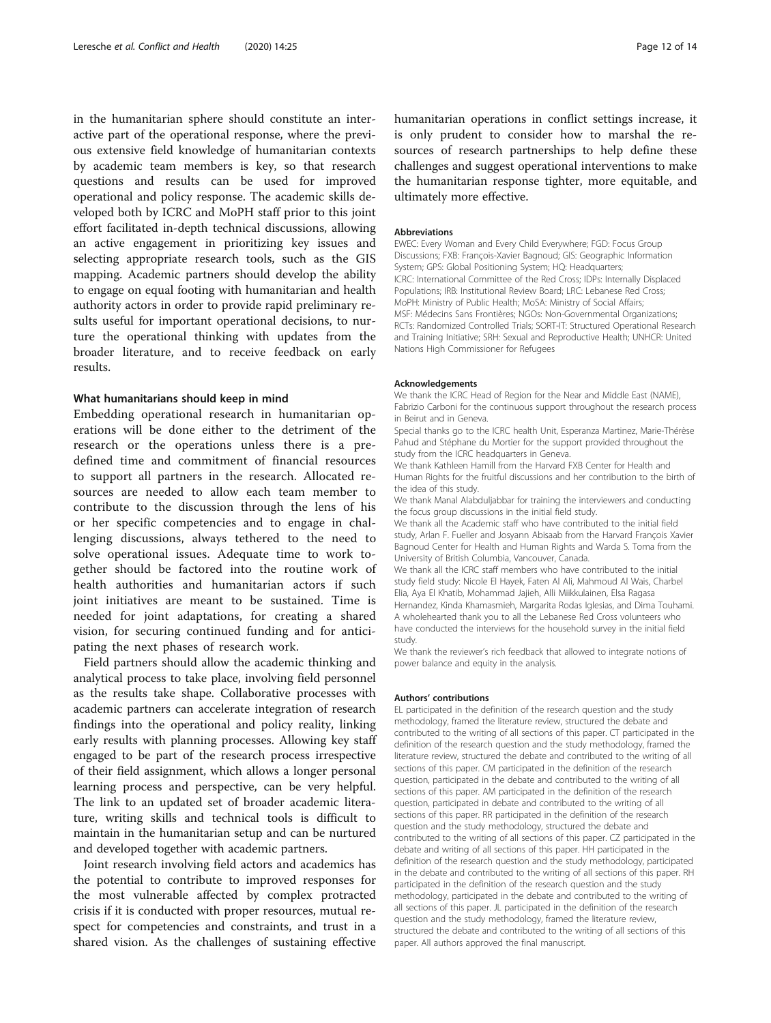in the humanitarian sphere should constitute an interactive part of the operational response, where the previous extensive field knowledge of humanitarian contexts by academic team members is key, so that research questions and results can be used for improved operational and policy response. The academic skills developed both by ICRC and MoPH staff prior to this joint effort facilitated in-depth technical discussions, allowing an active engagement in prioritizing key issues and selecting appropriate research tools, such as the GIS mapping. Academic partners should develop the ability to engage on equal footing with humanitarian and health authority actors in order to provide rapid preliminary results useful for important operational decisions, to nurture the operational thinking with updates from the broader literature, and to receive feedback on early results.

#### What humanitarians should keep in mind

Embedding operational research in humanitarian operations will be done either to the detriment of the research or the operations unless there is a predefined time and commitment of financial resources to support all partners in the research. Allocated resources are needed to allow each team member to contribute to the discussion through the lens of his or her specific competencies and to engage in challenging discussions, always tethered to the need to solve operational issues. Adequate time to work together should be factored into the routine work of health authorities and humanitarian actors if such joint initiatives are meant to be sustained. Time is needed for joint adaptations, for creating a shared vision, for securing continued funding and for anticipating the next phases of research work.

Field partners should allow the academic thinking and analytical process to take place, involving field personnel as the results take shape. Collaborative processes with academic partners can accelerate integration of research findings into the operational and policy reality, linking early results with planning processes. Allowing key staff engaged to be part of the research process irrespective of their field assignment, which allows a longer personal learning process and perspective, can be very helpful. The link to an updated set of broader academic literature, writing skills and technical tools is difficult to maintain in the humanitarian setup and can be nurtured and developed together with academic partners.

Joint research involving field actors and academics has the potential to contribute to improved responses for the most vulnerable affected by complex protracted crisis if it is conducted with proper resources, mutual respect for competencies and constraints, and trust in a shared vision. As the challenges of sustaining effective

humanitarian operations in conflict settings increase, it is only prudent to consider how to marshal the resources of research partnerships to help define these challenges and suggest operational interventions to make the humanitarian response tighter, more equitable, and ultimately more effective.

#### Abbreviations

EWEC: Every Woman and Every Child Everywhere; FGD: Focus Group Discussions; FXB: François-Xavier Bagnoud; GIS: Geographic Information System; GPS: Global Positioning System; HQ: Headquarters; ICRC: International Committee of the Red Cross; IDPs: Internally Displaced Populations; IRB: Institutional Review Board; LRC: Lebanese Red Cross; MoPH: Ministry of Public Health; MoSA: Ministry of Social Affairs; MSF: Médecins Sans Frontières; NGOs: Non-Governmental Organizations; RCTs: Randomized Controlled Trials; SORT-IT: Structured Operational Research and Training Initiative; SRH: Sexual and Reproductive Health; UNHCR: United Nations High Commissioner for Refugees

#### Acknowledgements

We thank the ICRC Head of Region for the Near and Middle East (NAME), Fabrizio Carboni for the continuous support throughout the research process in Beirut and in Geneva.

Special thanks go to the ICRC health Unit, Esperanza Martinez, Marie-Thérèse Pahud and Stéphane du Mortier for the support provided throughout the study from the ICRC headquarters in Geneva.

We thank Kathleen Hamill from the Harvard FXB Center for Health and Human Rights for the fruitful discussions and her contribution to the birth of the idea of this study.

We thank Manal Alabduljabbar for training the interviewers and conducting the focus group discussions in the initial field study.

We thank all the Academic staff who have contributed to the initial field study, Arlan F. Fueller and Josyann Abisaab from the Harvard François Xavier Bagnoud Center for Health and Human Rights and Warda S. Toma from the University of British Columbia, Vancouver, Canada.

We thank all the ICRC staff members who have contributed to the initial study field study: Nicole El Hayek, Faten Al Ali, Mahmoud Al Wais, Charbel Elia, Aya El Khatib, Mohammad Jajieh, Alli Miikkulainen, Elsa Ragasa Hernandez, Kinda Khamasmieh, Margarita Rodas Iglesias, and Dima Touhami. A wholehearted thank you to all the Lebanese Red Cross volunteers who have conducted the interviews for the household survey in the initial field study.

We thank the reviewer's rich feedback that allowed to integrate notions of power balance and equity in the analysis.

#### Authors' contributions

EL participated in the definition of the research question and the study methodology, framed the literature review, structured the debate and contributed to the writing of all sections of this paper. CT participated in the definition of the research question and the study methodology, framed the literature review, structured the debate and contributed to the writing of all sections of this paper. CM participated in the definition of the research question, participated in the debate and contributed to the writing of all sections of this paper. AM participated in the definition of the research question, participated in debate and contributed to the writing of all sections of this paper. RR participated in the definition of the research question and the study methodology, structured the debate and contributed to the writing of all sections of this paper. CZ participated in the debate and writing of all sections of this paper. HH participated in the definition of the research question and the study methodology, participated in the debate and contributed to the writing of all sections of this paper. RH participated in the definition of the research question and the study methodology, participated in the debate and contributed to the writing of all sections of this paper. JL participated in the definition of the research question and the study methodology, framed the literature review, structured the debate and contributed to the writing of all sections of this paper. All authors approved the final manuscript.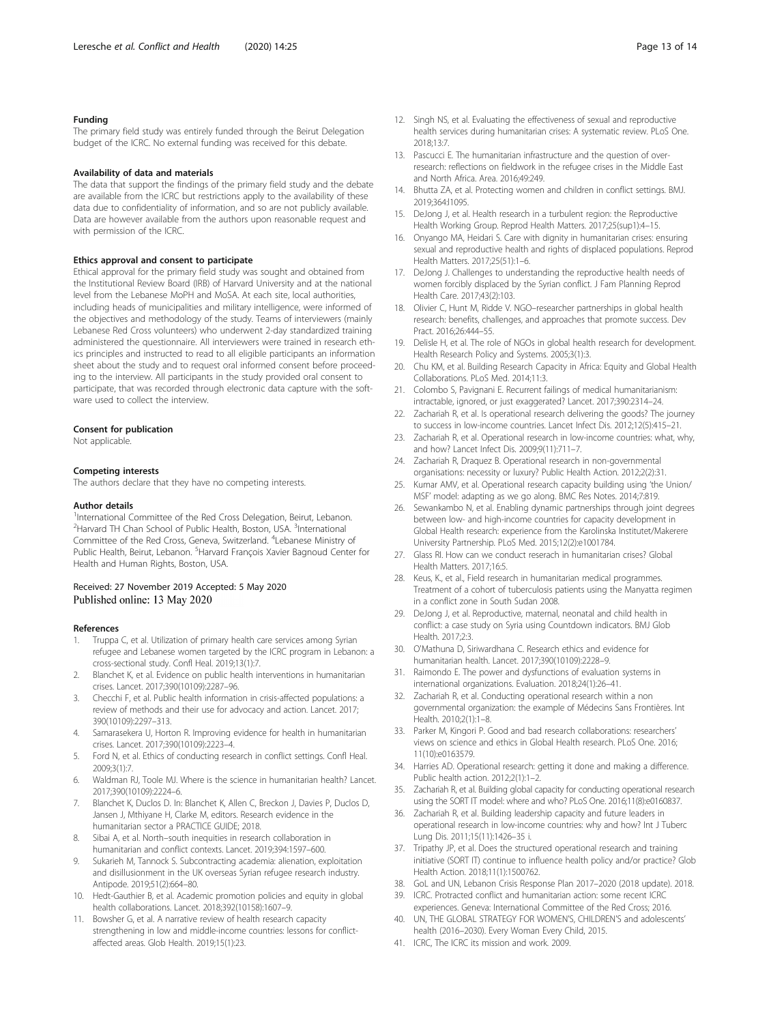#### <span id="page-12-0"></span>Funding

The primary field study was entirely funded through the Beirut Delegation budget of the ICRC. No external funding was received for this debate.

#### Availability of data and materials

The data that support the findings of the primary field study and the debate are available from the ICRC but restrictions apply to the availability of these data due to confidentiality of information, and so are not publicly available. Data are however available from the authors upon reasonable request and with permission of the ICRC.

#### Ethics approval and consent to participate

Ethical approval for the primary field study was sought and obtained from the Institutional Review Board (IRB) of Harvard University and at the national level from the Lebanese MoPH and MoSA. At each site, local authorities, including heads of municipalities and military intelligence, were informed of the objectives and methodology of the study. Teams of interviewers (mainly Lebanese Red Cross volunteers) who underwent 2-day standardized training administered the questionnaire. All interviewers were trained in research ethics principles and instructed to read to all eligible participants an information sheet about the study and to request oral informed consent before proceeding to the interview. All participants in the study provided oral consent to participate, that was recorded through electronic data capture with the software used to collect the interview.

#### Consent for publication

Not applicable.

#### Competing interests

The authors declare that they have no competing interests.

#### Author details

<sup>1</sup>International Committee of the Red Cross Delegation, Beirut, Lebanon. <sup>2</sup>Harvard TH Chan School of Public Health, Boston, USA. <sup>3</sup>International Committee of the Red Cross, Geneva, Switzerland. <sup>4</sup>Lebanese Ministry of Public Health, Beirut, Lebanon. <sup>5</sup>Harvard François Xavier Bagnoud Center for Health and Human Rights, Boston, USA.

#### Received: 27 November 2019 Accepted: 5 May 2020 Published online: 13 May 2020

#### References

- Truppa C, et al. Utilization of primary health care services among Syrian refugee and Lebanese women targeted by the ICRC program in Lebanon: a cross-sectional study. Confl Heal. 2019;13(1):7.
- 2. Blanchet K, et al. Evidence on public health interventions in humanitarian crises. Lancet. 2017;390(10109):2287–96.
- 3. Checchi F, et al. Public health information in crisis-affected populations: a review of methods and their use for advocacy and action. Lancet. 2017; 390(10109):2297–313.
- Samarasekera U, Horton R. Improving evidence for health in humanitarian crises. Lancet. 2017;390(10109):2223–4.
- 5. Ford N, et al. Ethics of conducting research in conflict settings. Confl Heal. 2009;3(1):7.
- 6. Waldman RJ, Toole MJ. Where is the science in humanitarian health? Lancet. 2017;390(10109):2224–6.
- 7. Blanchet K, Duclos D. In: Blanchet K, Allen C, Breckon J, Davies P, Duclos D, Jansen J, Mthiyane H, Clarke M, editors. Research evidence in the humanitarian sector a PRACTICE GUIDE; 2018.
- Sibai A, et al. North–south inequities in research collaboration in humanitarian and conflict contexts. Lancet. 2019;394:1597–600.
- 9. Sukarieh M, Tannock S. Subcontracting academia: alienation, exploitation and disillusionment in the UK overseas Syrian refugee research industry. Antipode. 2019;51(2):664–80.
- 10. Hedt-Gauthier B, et al. Academic promotion policies and equity in global health collaborations. Lancet. 2018;392(10158):1607–9.
- 11. Bowsher G, et al. A narrative review of health research capacity strengthening in low and middle-income countries: lessons for conflictaffected areas. Glob Health. 2019;15(1):23.
- 12. Singh NS, et al. Evaluating the effectiveness of sexual and reproductive health services during humanitarian crises: A systematic review. PLoS One. 2018;13:7.
- 13. Pascucci E. The humanitarian infrastructure and the question of overresearch: reflections on fieldwork in the refugee crises in the Middle East and North Africa. Area. 2016;49:249.
- 14. Bhutta ZA, et al. Protecting women and children in conflict settings. BMJ. 2019;364:l1095.
- 15. DeJong J, et al. Health research in a turbulent region: the Reproductive Health Working Group. Reprod Health Matters. 2017;25(sup1):4–15.
- 16. Onyango MA, Heidari S. Care with dignity in humanitarian crises: ensuring sexual and reproductive health and rights of displaced populations. Reprod Health Matters. 2017;25(51):1–6.
- 17. DeJong J. Challenges to understanding the reproductive health needs of women forcibly displaced by the Syrian conflict. J Fam Planning Reprod Health Care. 2017;43(2):103.
- 18. Olivier C, Hunt M, Ridde V. NGO–researcher partnerships in global health research: benefits, challenges, and approaches that promote success. Dev Pract. 2016;26:444–55.
- 19. Delisle H, et al. The role of NGOs in global health research for development. Health Research Policy and Systems. 2005;3(1):3.
- 20. Chu KM, et al. Building Research Capacity in Africa: Equity and Global Health Collaborations. PLoS Med. 2014;11:3.
- 21. Colombo S, Pavignani E. Recurrent failings of medical humanitarianism: intractable, ignored, or just exaggerated? Lancet. 2017;390:2314–24.
- 22. Zachariah R, et al. Is operational research delivering the goods? The journey to success in low-income countries. Lancet Infect Dis. 2012;12(5):415–21.
- 23. Zachariah R, et al. Operational research in low-income countries: what, why, and how? Lancet Infect Dis. 2009;9(11):711–7.
- 24. Zachariah R, Draquez B. Operational research in non-governmental organisations: necessity or luxury? Public Health Action. 2012;2(2):31.
- 25. Kumar AMV, et al. Operational research capacity building using 'the Union/ MSF' model: adapting as we go along. BMC Res Notes. 2014;7:819.
- 26. Sewankambo N, et al. Enabling dynamic partnerships through joint degrees between low- and high-income countries for capacity development in Global Health research: experience from the Karolinska Institutet/Makerere University Partnership. PLoS Med. 2015;12(2):e1001784.
- 27. Glass RI. How can we conduct reserach in humanitarian crises? Global Health Matters. 2017;16:5.
- 28. Keus, K., et al., Field research in humanitarian medical programmes. Treatment of a cohort of tuberculosis patients using the Manyatta regimen in a conflict zone in South Sudan 2008.
- 29. DeJong J, et al. Reproductive, maternal, neonatal and child health in conflict: a case study on Syria using Countdown indicators. BMJ Glob Health. 2017;2:3.
- 30. O'Mathuna D, Siriwardhana C. Research ethics and evidence for humanitarian health. Lancet. 2017;390(10109):2228–9.
- 31. Raimondo E. The power and dysfunctions of evaluation systems in international organizations. Evaluation. 2018;24(1):26–41.
- 32. Zachariah R, et al. Conducting operational research within a non governmental organization: the example of Médecins Sans Frontières. Int Health. 2010;2(1):1–8.
- 33. Parker M, Kingori P. Good and bad research collaborations: researchers' views on science and ethics in Global Health research. PLoS One. 2016; 11(10):e0163579.
- 34. Harries AD. Operational research: getting it done and making a difference. Public health action. 2012;2(1):1–2.
- 35. Zachariah R, et al. Building global capacity for conducting operational research using the SORT IT model: where and who? PLoS One. 2016;11(8):e0160837.
- 36. Zachariah R, et al. Building leadership capacity and future leaders in operational research in low-income countries: why and how? Int J Tuberc Lung Dis. 2011;15(11):1426–35 i.
- 37. Tripathy JP, et al. Does the structured operational research and training initiative (SORT IT) continue to influence health policy and/or practice? Glob Health Action. 2018;11(1):1500762.
- 38. GoL and UN, Lebanon Crisis Response Plan 2017–2020 (2018 update). 2018.
- 39. ICRC. Protracted conflict and humanitarian action: some recent ICRC experiences. Geneva: International Committee of the Red Cross; 2016.
- 40. UN, THE GLOBAL STRATEGY FOR WOMEN'S, CHILDREN'S and adolescents' health (2016–2030). Every Woman Every Child, 2015.
- 41. ICRC, The ICRC its mission and work. 2009.